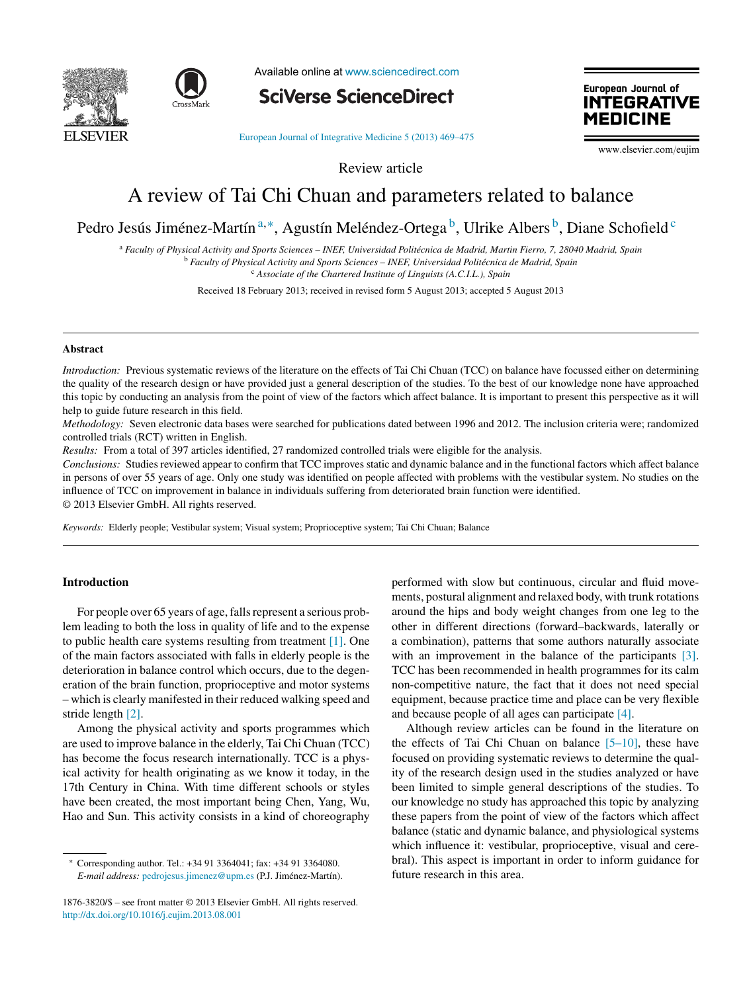# A review of Tai Chi Chuan and parameters related to balance

# Pedro Jesús Jiménez-Martín<sup>a,∗</sup>, Agustín Meléndez-Ortega<sup>b</sup>, Ulrike Albers<sup>b</sup>, Diane Schofield<sup>c</sup>

<sup>a</sup> *Faculty of Physical Activity and Sports Sciences – INEF, Universidad Politécnica de Madrid, Martin Fierro, 7, 28040 Madrid, Spain* <sup>b</sup> *Faculty of Physical Activity and Sports Sciences – INEF, Universidad Politécnica de Madrid, Spain* <sup>c</sup> *Associate of the Chartered Institute of Linguists (A.C.I.L.), Spain*

Received 18 February 2013; received in revised form 5 August 2013; accepted 5 August 2013

#### **Abstract**

*Introduction:* Previous systematic reviews of the literature on the effects of Tai Chi Chuan (TCC) on balance have focussed either on determining the quality of the research design or have provided just a general description of the studies. To the best of our knowledge none have approached this topic by conducting an analysis from the point of view of the factors which affect balance. It is important to present this perspective as it will help to guide future research in this field.

*Methodology:* Seven electronic data bases were searched for publications dated between 1996 and 2012. The inclusion criteria were; randomized controlled trials (RCT) written in English.

*Results:* From a total of 397 articles identified, 27 randomized controlled trials were eligible for the analysis.

*Conclusions:* Studies reviewed appear to confirm that TCC improves static and dynamic balance and in the functional factors which affect balance in persons of over 55 years of age. Only one study was identified on people affected with problems with the vestibular system. No studies on the influence of TCC on improvement in balance in individuals suffering from deteriorated brain function were identified.

© 2013 Elsevier GmbH. All rights reserved.

*Keywords:* Elderly people; Vestibular system; Visual system; Proprioceptive system; Tai Chi Chuan; Balance

## **Introduction**

For people over 65 years of age, falls represent a serious problem leading to both the loss in quality of life and to the expense to public health care systems resulting from treatment [\[1\].](#page-5-0) One of the main factors associated with falls in elderly people is the deterioration in balance control which occurs, due to the degeneration of the brain function, proprioceptive and motor systems – which is clearly manifested in their reduced walking speed and stride length [\[2\].](#page-5-0)

Among the physical activity and sports programmes which are used to improve balance in the elderly, Tai Chi Chuan (TCC) has become the focus research internationally. TCC is a physical activity for health originating as we know it today, in the 17th Century in China. With time different schools or styles have been created, the most important being Chen, Yang, Wu, Hao and Sun. This activity consists in a kind of choreography

performed with slow but continuous, circular and fluid movements, postural alignment and relaxed body, with trunk rotations around the hips and body weight changes from one leg to the other in different directions (forward–backwards, laterally or a combination), patterns that some authors naturally associate with an improvement in the balance of the participants [\[3\].](#page-5-0) TCC has been recommended in health programmes for its calm non-competitive nature, the fact that it does not need special equipment, because practice time and place can be very flexible and because people of all ages can participate [\[4\].](#page-5-0)

Although review articles can be found in the literature on the effects of Tai Chi Chuan on balance  $[5-10]$ , these have focused on providing systematic reviews to determine the quality of the research design used in the studies analyzed or have been limited to simple general descriptions of the studies. To our knowledge no study has approached this topic by analyzing these papers from the point of view of the factors which affect balance (static and dynamic balance, and physiological systems which influence it: vestibular, proprioceptive, visual and cerebral). This aspect is important in order to inform guidance for future research in this area.

<sup>∗</sup> Corresponding author. Tel.: +34 91 3364041; fax: +34 91 3364080. *E-mail address:* [pedrojesus.jimenez@upm.es](mailto:pedrojesus.jimenez@upm.es) (P.J. Jiménez-Martín).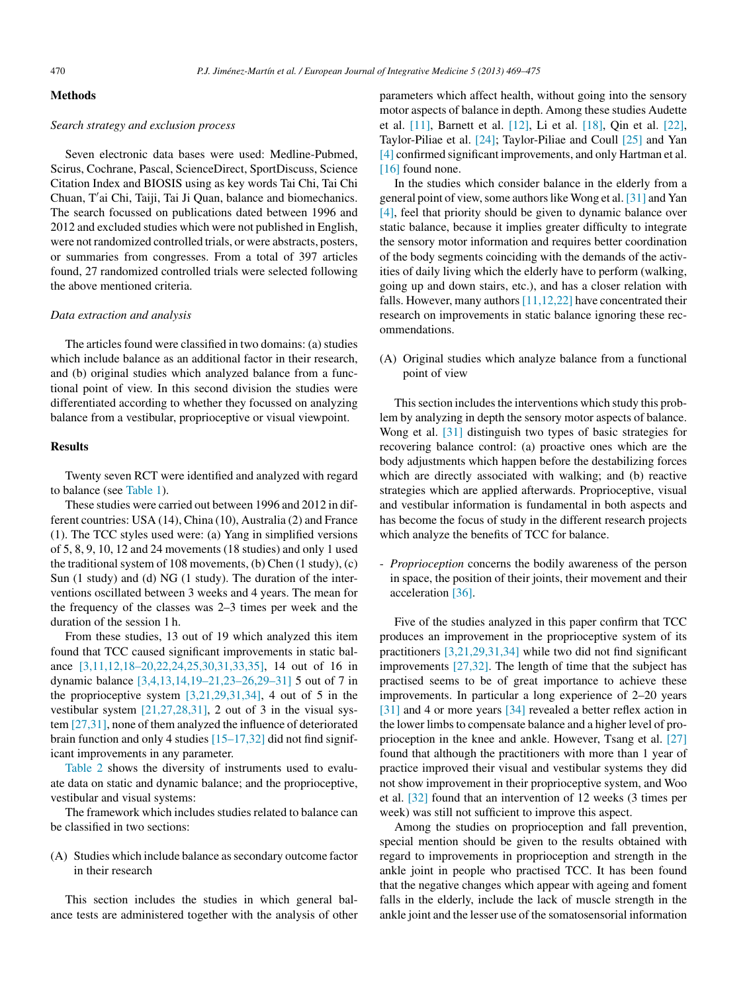## **Methods**

### *Search strategy and exclusion process*

Seven electronic data bases were used: Medline-Pubmed, Scirus, Cochrane, Pascal, ScienceDirect, SportDiscuss, Science Citation Index and BIOSIS using as key words Tai Chi, Tai Chi Chuan, T ai Chi, Taiji, Tai Ji Quan, balance and biomechanics. The search focussed on publications dated between 1996 and 2012 and excluded studies which were not published in English, were not randomized controlled trials, or were abstracts, posters, or summaries from congresses. From a total of 397 articles found, 27 randomized controlled trials were selected following the above mentioned criteria.

# *Data extraction and analysis*

The articles found were classified in two domains: (a) studies which include balance as an additional factor in their research, and (b) original studies which analyzed balance from a functional point of view. In this second division the studies were differentiated according to whether they focussed on analyzing balance from a vestibular, proprioceptive or visual viewpoint.

# **Results**

Twenty seven RCT were identified and analyzed with regard to balance (see [Table 1\).](#page-2-0)

These studies were carried out between 1996 and 2012 in different countries: USA (14), China (10), Australia (2) and France (1). The TCC styles used were: (a) Yang in simplified versions of 5, 8, 9, 10, 12 and 24 movements (18 studies) and only 1 used the traditional system of 108 movements, (b) Chen (1 study), (c) Sun (1 study) and (d) NG (1 study). The duration of the interventions oscillated between 3 weeks and 4 years. The mean for the frequency of the classes was 2–3 times per week and the duration of the session 1 h.

From these studies, 13 out of 19 which analyzed this item found that TCC caused significant improvements in static balance [\[3,11,12,18–20,22,24,25,30,31,33,35\],](#page-5-0) 14 out of 16 in dynamic balance [\[3,4,13,14,19–21,23–26,29–31\]](#page-5-0) 5 out of 7 in the proprioceptive system  $[3,21,29,31,34]$ , 4 out of 5 in the vestibular system [\[21,27,28,31\],](#page-5-0) 2 out of 3 in the visual system [\[27,31\], n](#page-5-0)one of them analyzed the influence of deteriorated brain function and only 4 studies [\[15–17,32\]](#page-5-0) did not find significant improvements in any parameter.

[Table 2](#page-2-0) shows the diversity of instruments used to evaluate data on static and dynamic balance; and the proprioceptive, vestibular and visual systems:

The framework which includes studies related to balance can be classified in two sections:

(A) Studies which include balance as secondary outcome factor in their research

This section includes the studies in which general balance tests are administered together with the analysis of other parameters which affect health, without going into the sensory motor aspects of balance in depth. Among these studies Audette et al. [\[11\],](#page-5-0) Barnett et al. [\[12\],](#page-5-0) Li et al. [\[18\],](#page-5-0) Qin et al. [\[22\],](#page-5-0) Taylor-Piliae et al. [\[24\];](#page-5-0) Taylor-Piliae and Coull [\[25\]](#page-5-0) and Yan [\[4\]](#page-5-0) confirmed significant improvements, and only Hartman et al. [\[16\]](#page-5-0) found none.

In the studies which consider balance in the elderly from a general point of view, some authors like Wong et al.[\[31\]](#page-5-0) and Yan [\[4\],](#page-5-0) feel that priority should be given to dynamic balance over static balance, because it implies greater difficulty to integrate the sensory motor information and requires better coordination of the body segments coinciding with the demands of the activities of daily living which the elderly have to perform (walking, going up and down stairs, etc.), and has a closer relation with falls. However, many authors  $[11,12,22]$  have concentrated their research on improvements in static balance ignoring these recommendations.

(A) Original studies which analyze balance from a functional point of view

This section includes the interventions which study this problem by analyzing in depth the sensory motor aspects of balance. Wong et al. [\[31\]](#page-5-0) distinguish two types of basic strategies for recovering balance control: (a) proactive ones which are the body adjustments which happen before the destabilizing forces which are directly associated with walking; and (b) reactive strategies which are applied afterwards. Proprioceptive, visual and vestibular information is fundamental in both aspects and has become the focus of study in the different research projects which analyze the benefits of TCC for balance.

- *Proprioception* concerns the bodily awareness of the person in space, the position of their joints, their movement and their acceleration [\[36\].](#page-6-0)

Five of the studies analyzed in this paper confirm that TCC produces an improvement in the proprioceptive system of its practitioners [\[3,21,29,31,34\]](#page-5-0) while two did not find significant improvements [\[27,32\].](#page-5-0) The length of time that the subject has practised seems to be of great importance to achieve these improvements. In particular a long experience of 2–20 years [\[31\]](#page-5-0) and 4 or more years [\[34\]](#page-6-0) revealed a better reflex action in the lower limbs to compensate balance and a higher level of proprioception in the knee and ankle. However, Tsang et al. [\[27\]](#page-5-0) found that although the practitioners with more than 1 year of practice improved their visual and vestibular systems they did not show improvement in their proprioceptive system, and Woo et al. [\[32\]](#page-5-0) found that an intervention of 12 weeks (3 times per week) was still not sufficient to improve this aspect.

Among the studies on proprioception and fall prevention, special mention should be given to the results obtained with regard to improvements in proprioception and strength in the ankle joint in people who practised TCC. It has been found that the negative changes which appear with ageing and foment falls in the elderly, include the lack of muscle strength in the ankle joint and the lesser use of the somatosensorial information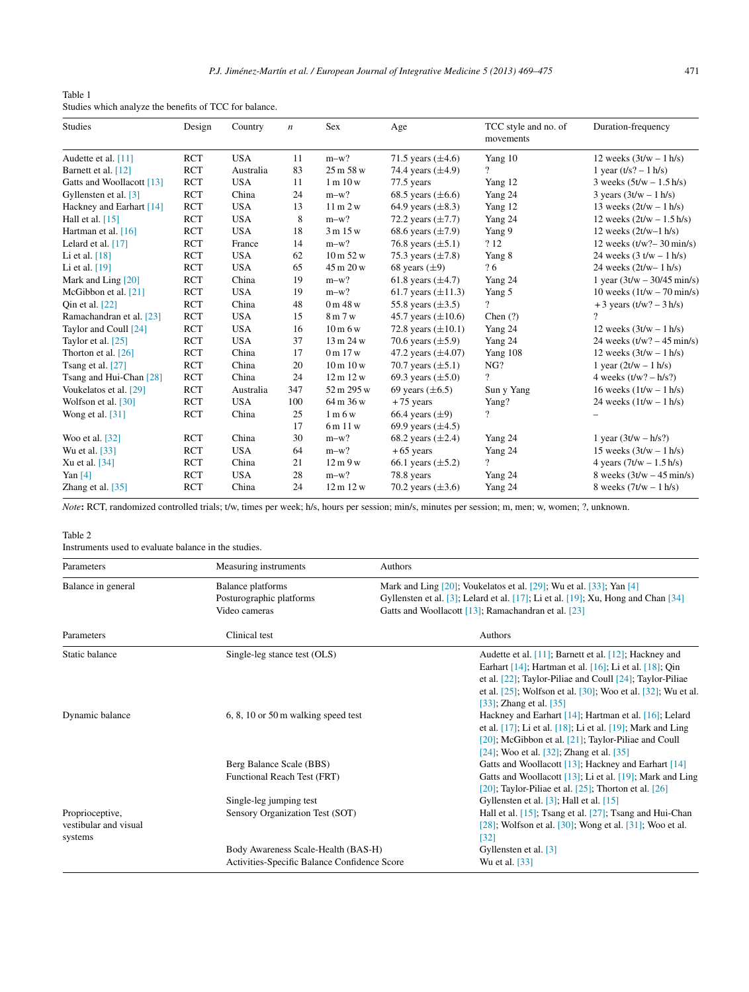<span id="page-2-0"></span>Table 1 Studies which analyze the benefits of TCC for balance.

| <b>Studies</b>            | Design     | Country    | $\boldsymbol{n}$ | Sex                           | Age                     | TCC style and no. of<br>movements | Duration-frequency                    |
|---------------------------|------------|------------|------------------|-------------------------------|-------------------------|-----------------------------------|---------------------------------------|
| Audette et al. [11]       | <b>RCT</b> | <b>USA</b> | 11               | $m-w?$                        | 71.5 years $(\pm 4.6)$  | Yang 10                           | 12 weeks $(3t/w - 1 h/s)$             |
| Barnett et al. [12]       | <b>RCT</b> | Australia  | 83               | $25 \text{ m} 58 \text{ w}$   | 74.4 years $(\pm 4.9)$  | 2                                 | 1 year $(t/s? - 1 h/s)$               |
| Gatts and Woollacott [13] | <b>RCT</b> | <b>USA</b> | 11               | 1 m 10 w                      | 77.5 years              | Yang 12                           | 3 weeks $(5t/w - 1.5 h/s)$            |
| Gyllensten et al. [3]     | <b>RCT</b> | China      | 24               | $m-w?$                        | 68.5 years $(\pm 6.6)$  | Yang 24                           | 3 years $(3t/w - 1 h/s)$              |
| Hackney and Earhart [14]  | <b>RCT</b> | <b>USA</b> | 13               | $11 \text{ m } 2 \text{ w}$   | 64.9 years $(\pm 8.3)$  | Yang 12                           | 13 weeks $(2t/w - 1 h/s)$             |
| Hall et al. $[15]$        | <b>RCT</b> | <b>USA</b> | 8                | $m-w?$                        | 72.2 years $(\pm 7.7)$  | Yang 24                           | 12 weeks $(2t/w - 1.5 h/s)$           |
| Hartman et al. [16]       | <b>RCT</b> | <b>USA</b> | 18               | 3m15w                         | 68.6 years $(\pm 7.9)$  | Yang 9                            | 12 weeks $(2t/w-1 h/s)$               |
| Lelard et al. $[17]$      | <b>RCT</b> | France     | 14               | $m-w?$                        | 76.8 years $(\pm 5.1)$  | ? 12                              | 12 weeks $(t/w? - 30 min/s)$          |
| Li et al. $[18]$          | <b>RCT</b> | <b>USA</b> | 62               | $10 \,\mathrm{m}$ 52 w        | 75.3 years $(\pm 7.8)$  | Yang 8                            | 24 weeks $(3 t/w - 1 h/s)$            |
| Li et al. $[19]$          | <b>RCT</b> | <b>USA</b> | 65               | $45 \text{ m } 20 \text{ w}$  | 68 years $(\pm 9)$      | ?6                                | 24 weeks $(2t/w - 1 h/s)$             |
| Mark and Ling [20]        | <b>RCT</b> | China      | 19               | $m-w?$                        | 61.8 years $(\pm 4.7)$  | Yang 24                           | 1 year $(3t/w - 30/45 \text{ min/s})$ |
| McGibbon et al. $[21]$    | <b>RCT</b> | <b>USA</b> | 19               | $m-w?$                        | 61.7 years $(\pm 11.3)$ | Yang 5                            | 10 weeks $(1t/w - 70 \text{ min/s})$  |
| Qin et al. $[22]$         | <b>RCT</b> | China      | 48               | 0 m 48 w                      | 55.8 years $(\pm 3.5)$  | 2                                 | +3 years $(t/w? - 3 h/s)$             |
| Ramachandran et al. [23]  | <b>RCT</b> | <b>USA</b> | 15               | 8m7w                          | 45.7 years $(\pm 10.6)$ | Chen $(?)$                        | 9                                     |
| Taylor and Coull [24]     | <b>RCT</b> | <b>USA</b> | 16               | 10m6w                         | 72.8 years $(\pm 10.1)$ | Yang 24                           | 12 weeks $(3t/w - 1 h/s)$             |
| Taylor et al. $[25]$      | <b>RCT</b> | <b>USA</b> | 37               | 13 m 24 w                     | 70.6 years $(\pm 5.9)$  | Yang 24                           | 24 weeks $(t/w? – 45 min/s)$          |
| Thorton et al. $[26]$     | RCT        | China      | 17               | 0m17w                         | 47.2 years $(\pm 4.07)$ | Yang 108                          | 12 weeks $(3t/w - 1 h/s)$             |
| Tsang et al. [27]         | <b>RCT</b> | China      | 20               | $10 \text{ m} 10 \text{ w}$   | 70.7 years $(\pm 5.1)$  | NG?                               | 1 year $(2t/w - 1 h/s)$               |
| Tsang and Hui-Chan [28]   | <b>RCT</b> | China      | 24               | 12m12w                        | 69.3 years $(\pm 5.0)$  | $\boldsymbol{\eta}$               | 4 weeks $(t/w? - h/s?)$               |
| Voukelatos et al. [29]    | <b>RCT</b> | Australia  | 347              | 52 m 295 w                    | 69 years $(\pm 6.5)$    | Sun y Yang                        | 16 weeks $(1t/w - 1 h/s)$             |
| Wolfson et al. [30]       | <b>RCT</b> | <b>USA</b> | 100              | 64 m 36 w                     | $+75$ years             | Yang?                             | 24 weeks $(1t/w - 1 h/s)$             |
| Wong et al. $[31]$        | <b>RCT</b> | China      | 25               | 1 <sub>m</sub> 6 <sub>w</sub> | 66.4 years $(\pm 9)$    | $\overline{?}$                    |                                       |
|                           |            |            | 17               | 6 m 11 w                      | 69.9 years $(\pm 4.5)$  |                                   |                                       |
| Woo et al. [32]           | RCT        | China      | 30               | $m-w?$                        | 68.2 years $(\pm 2.4)$  | Yang 24                           | 1 year $(3t/w - h/s?)$                |
| Wu et al. $[33]$          | <b>RCT</b> | <b>USA</b> | 64               | $m-w?$                        | $+65$ years             | Yang 24                           | 15 weeks $(3t/w - 1 h/s)$             |
| Xu et al. [34]            | <b>RCT</b> | China      | 21               | 12m9w                         | 66.1 years $(\pm 5.2)$  | $\overline{?}$                    | 4 years $(7t/w - 1.5 h/s)$            |
| Yan $[4]$                 | <b>RCT</b> | <b>USA</b> | 28               | $m-w?$                        | 78.8 years              | Yang 24                           | 8 weeks $(3t/w - 45 min/s)$           |
| Zhang et al. [35]         | <b>RCT</b> | China      | 24               | 12 m 12 w                     | 70.2 years $(\pm 3.6)$  | Yang 24                           | 8 weeks $(7t/w - 1 h/s)$              |

*Note***:** RCT, randomized controlled trials; t/w, times per week; h/s, hours per session; min/s, minutes per session; m, men; w, women; ?, unknown.

#### Table 2

Instruments used to evaluate balance in the studies.

| Parameters                                          | Measuring instruments                                                               | Authors                                                                                                                                                                                                                                                                                 |
|-----------------------------------------------------|-------------------------------------------------------------------------------------|-----------------------------------------------------------------------------------------------------------------------------------------------------------------------------------------------------------------------------------------------------------------------------------------|
| Balance in general                                  | <b>Balance</b> platforms<br>Posturographic platforms<br>Video cameras               | Mark and Ling $[20]$ ; Voukelatos et al. $[29]$ ; Wu et al. $[33]$ ; Yan $[4]$<br>Gyllensten et al. [3]; Lelard et al. [17]; Li et al. [19]; Xu, Hong and Chan [34]<br>Gatts and Woollacott [13]; Ramachandran et al. [23]                                                              |
| Parameters                                          | Clinical test                                                                       | Authors                                                                                                                                                                                                                                                                                 |
| Static balance                                      | Single-leg stance test (OLS)                                                        | Audette et al. [11]; Barnett et al. [12]; Hackney and<br>Earhart [14]; Hartman et al. [16]; Li et al. [18]; Qin<br>et al. $[22]$ ; Taylor-Piliae and Coull $[24]$ ; Taylor-Piliae<br>et al. $[25]$ ; Wolfson et al. $[30]$ ; Woo et al. $[32]$ ; Wu et al.<br>[33]; Zhang et al. $[35]$ |
| Dynamic balance                                     | $6, 8, 10$ or $50 \text{ m}$ walking speed test                                     | Hackney and Earhart [14]; Hartman et al. [16]; Lelard<br>et al. $[17]$ ; Li et al. $[18]$ ; Li et al. $[19]$ ; Mark and Ling<br>[20]; McGibbon et al. [21]; Taylor-Piliae and Coull<br>[24]; Woo et al. $[32]$ ; Zhang et al. $[35]$                                                    |
|                                                     | Berg Balance Scale (BBS)<br>Functional Reach Test (FRT)                             | Gatts and Woollacott [13]; Hackney and Earhart [14]<br>Gatts and Woollacott [13]; Li et al. [19]; Mark and Ling<br>[20]; Taylor-Piliae et al. $[25]$ ; Thorton et al. $[26]$                                                                                                            |
|                                                     | Single-leg jumping test                                                             | Gyllensten et al. $[3]$ ; Hall et al. $[15]$                                                                                                                                                                                                                                            |
| Proprioceptive,<br>vestibular and visual<br>systems | Sensory Organization Test (SOT)                                                     | Hall et al. [15]; Tsang et al. [27]; Tsang and Hui-Chan<br>[28]; Wolfson et al. [30]; Wong et al. [31]; Woo et al.<br>$[32]$                                                                                                                                                            |
|                                                     | Body Awareness Scale-Health (BAS-H)<br>Activities-Specific Balance Confidence Score | Gyllensten et al. [3]<br>Wu et al. [33]                                                                                                                                                                                                                                                 |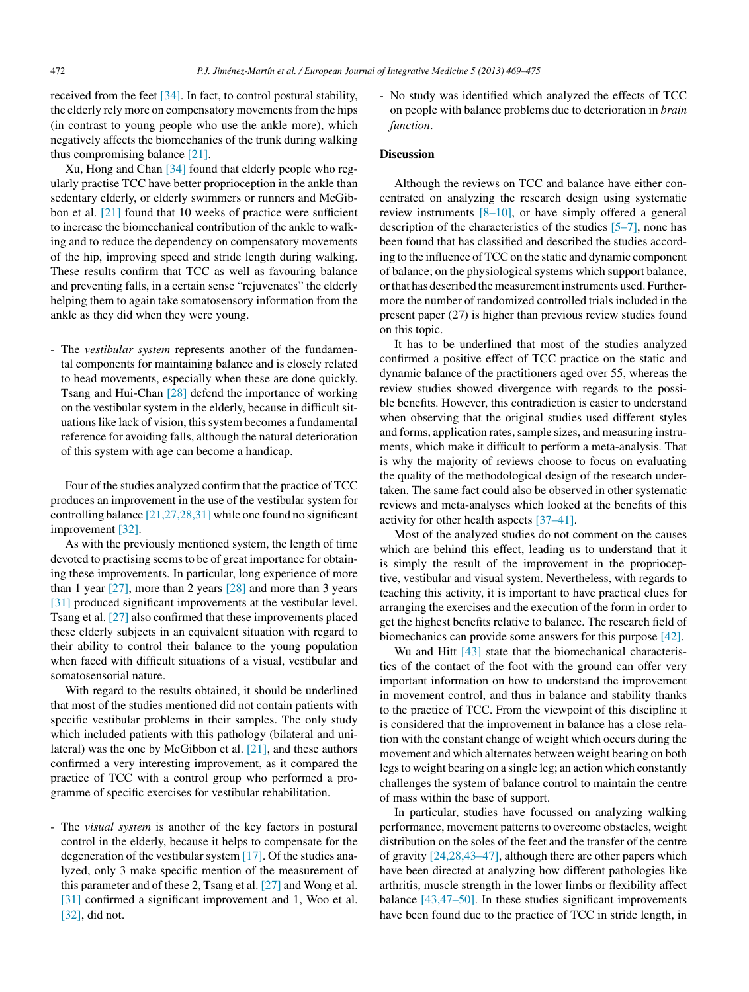received from the feet [\[34\]. I](#page-6-0)n fact, to control postural stability, the elderly rely more on compensatory movements from the hips (in contrast to young people who use the ankle more), which negatively affects the biomechanics of the trunk during walking thus compromising balance [\[21\].](#page-5-0)

Xu, Hong and Chan [\[34\]](#page-6-0) found that elderly people who regularly practise TCC have better proprioception in the ankle than sedentary elderly, or elderly swimmers or runners and McGibbon et al. [\[21\]](#page-5-0) found that 10 weeks of practice were sufficient to increase the biomechanical contribution of the ankle to walking and to reduce the dependency on compensatory movements of the hip, improving speed and stride length during walking. These results confirm that TCC as well as favouring balance and preventing falls, in a certain sense "rejuvenates" the elderly helping them to again take somatosensory information from the ankle as they did when they were young.

- The *vestibular system* represents another of the fundamental components for maintaining balance and is closely related to head movements, especially when these are done quickly. Tsang and Hui-Chan [\[28\]](#page-5-0) defend the importance of working on the vestibular system in the elderly, because in difficult situations like lack of vision, this system becomes a fundamental reference for avoiding falls, although the natural deterioration of this system with age can become a handicap.

Four of the studies analyzed confirm that the practice of TCC produces an improvement in the use of the vestibular system for controlling balance  $[21,27,28,31]$  while one found no significant improvement [\[32\].](#page-5-0)

As with the previously mentioned system, the length of time devoted to practising seems to be of great importance for obtaining these improvements. In particular, long experience of more than 1 year  $[27]$ , more than 2 years  $[28]$  and more than 3 years [\[31\]](#page-5-0) produced significant improvements at the vestibular level. Tsang et al. [\[27\]](#page-5-0) also confirmed that these improvements placed these elderly subjects in an equivalent situation with regard to their ability to control their balance to the young population when faced with difficult situations of a visual, vestibular and somatosensorial nature.

With regard to the results obtained, it should be underlined that most of the studies mentioned did not contain patients with specific vestibular problems in their samples. The only study which included patients with this pathology (bilateral and unilateral) was the one by McGibbon et al. [\[21\], a](#page-5-0)nd these authors confirmed a very interesting improvement, as it compared the practice of TCC with a control group who performed a programme of specific exercises for vestibular rehabilitation.

- The *visual system* is another of the key factors in postural control in the elderly, because it helps to compensate for the degeneration of the vestibular system [\[17\]. O](#page-5-0)f the studies analyzed, only 3 make specific mention of the measurement of this parameter and of these 2, Tsang et al. [\[27\]](#page-5-0) and Wong et al. [\[31\]](#page-5-0) confirmed a significant improvement and 1, Woo et al. [\[32\], d](#page-5-0)id not.

- No study was identified which analyzed the effects of TCC on people with balance problems due to deterioration in *brain function*.

#### **Discussion**

Although the reviews on TCC and balance have either concentrated on analyzing the research design using systematic review instruments [\[8–10\],](#page-5-0) or have simply offered a general description of the characteristics of the studies [\[5–7\],](#page-5-0) none has been found that has classified and described the studies according to the influence of TCC on the static and dynamic component of balance; on the physiological systems which support balance, or that has described the measurement instruments used. Furthermore the number of randomized controlled trials included in the present paper (27) is higher than previous review studies found on this topic.

It has to be underlined that most of the studies analyzed confirmed a positive effect of TCC practice on the static and dynamic balance of the practitioners aged over 55, whereas the review studies showed divergence with regards to the possible benefits. However, this contradiction is easier to understand when observing that the original studies used different styles and forms, application rates, sample sizes, and measuring instruments, which make it difficult to perform a meta-analysis. That is why the majority of reviews choose to focus on evaluating the quality of the methodological design of the research undertaken. The same fact could also be observed in other systematic reviews and meta-analyses which looked at the benefits of this activity for other health aspects [\[37–41\].](#page-6-0)

Most of the analyzed studies do not comment on the causes which are behind this effect, leading us to understand that it is simply the result of the improvement in the proprioceptive, vestibular and visual system. Nevertheless, with regards to teaching this activity, it is important to have practical clues for arranging the exercises and the execution of the form in order to get the highest benefits relative to balance. The research field of biomechanics can provide some answers for this purpose [\[42\].](#page-6-0)

Wu and Hitt [\[43\]](#page-6-0) state that the biomechanical characteristics of the contact of the foot with the ground can offer very important information on how to understand the improvement in movement control, and thus in balance and stability thanks to the practice of TCC. From the viewpoint of this discipline it is considered that the improvement in balance has a close relation with the constant change of weight which occurs during the movement and which alternates between weight bearing on both legs to weight bearing on a single leg; an action which constantly challenges the system of balance control to maintain the centre of mass within the base of support.

In particular, studies have focussed on analyzing walking performance, movement patterns to overcome obstacles, weight distribution on the soles of the feet and the transfer of the centre of gravity [\[24,28,43–47\], a](#page-5-0)lthough there are other papers which have been directed at analyzing how different pathologies like arthritis, muscle strength in the lower limbs or flexibility affect balance [\[43,47–50\].](#page-6-0) In these studies significant improvements have been found due to the practice of TCC in stride length, in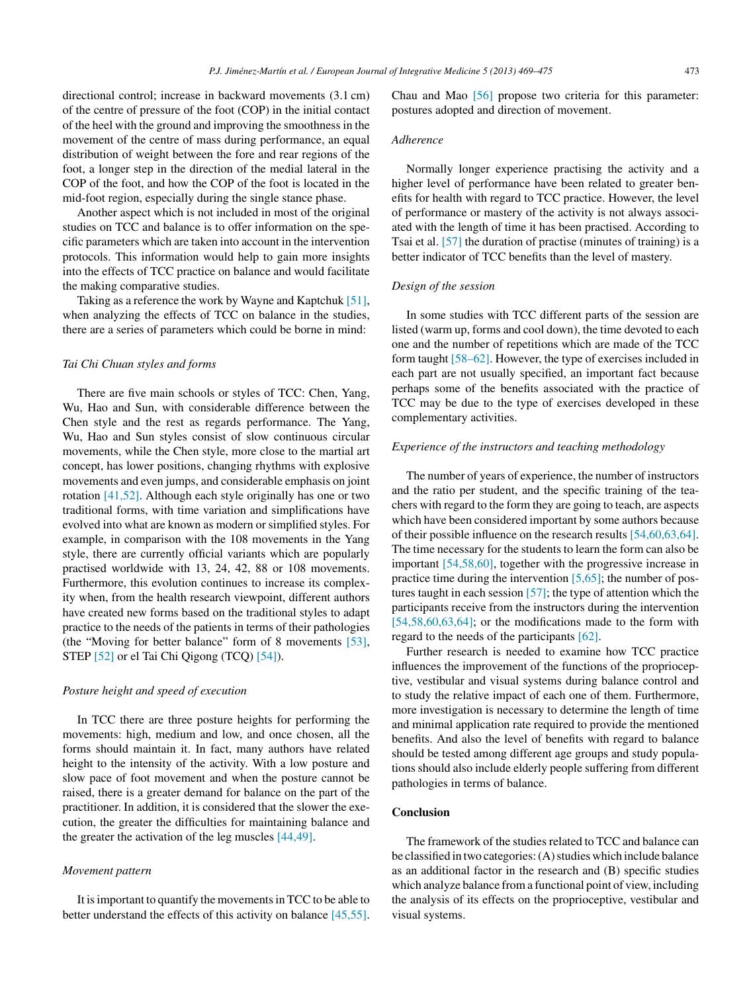directional control; increase in backward movements (3.1 cm) of the centre of pressure of the foot (COP) in the initial contact of the heel with the ground and improving the smoothness in the movement of the centre of mass during performance, an equal distribution of weight between the fore and rear regions of the foot, a longer step in the direction of the medial lateral in the COP of the foot, and how the COP of the foot is located in the mid-foot region, especially during the single stance phase.

Another aspect which is not included in most of the original studies on TCC and balance is to offer information on the specific parameters which are taken into account in the intervention protocols. This information would help to gain more insights into the effects of TCC practice on balance and would facilitate the making comparative studies.

Taking as a reference the work by Wayne and Kaptchuk [\[51\],](#page-6-0) when analyzing the effects of TCC on balance in the studies, there are a series of parameters which could be borne in mind:

#### *Tai Chi Chuan styles and forms*

There are five main schools or styles of TCC: Chen, Yang, Wu, Hao and Sun, with considerable difference between the Chen style and the rest as regards performance. The Yang, Wu, Hao and Sun styles consist of slow continuous circular movements, while the Chen style, more close to the martial art concept, has lower positions, changing rhythms with explosive movements and even jumps, and considerable emphasis on joint rotation [\[41,52\].](#page-6-0) Although each style originally has one or two traditional forms, with time variation and simplifications have evolved into what are known as modern or simplified styles. For example, in comparison with the 108 movements in the Yang style, there are currently official variants which are popularly practised worldwide with 13, 24, 42, 88 or 108 movements. Furthermore, this evolution continues to increase its complexity when, from the health research viewpoint, different authors have created new forms based on the traditional styles to adapt practice to the needs of the patients in terms of their pathologies (the "Moving for better balance" form of 8 movements [\[53\],](#page-6-0) STEP [\[52\]](#page-6-0) or el Tai Chi Qigong (TCQ) [\[54\]\).](#page-6-0)

## *Posture height and speed of execution*

In TCC there are three posture heights for performing the movements: high, medium and low, and once chosen, all the forms should maintain it. In fact, many authors have related height to the intensity of the activity. With a low posture and slow pace of foot movement and when the posture cannot be raised, there is a greater demand for balance on the part of the practitioner. In addition, it is considered that the slower the execution, the greater the difficulties for maintaining balance and the greater the activation of the leg muscles [\[44,49\].](#page-6-0)

## *Movement pattern*

It is important to quantify the movements in TCC to be able to better understand the effects of this activity on balance [\[45,55\].](#page-6-0) Chau and Mao [\[56\]](#page-6-0) propose two criteria for this parameter: postures adopted and direction of movement.

# *Adherence*

Normally longer experience practising the activity and a higher level of performance have been related to greater benefits for health with regard to TCC practice. However, the level of performance or mastery of the activity is not always associated with the length of time it has been practised. According to Tsai et al. [\[57\]](#page-6-0) the duration of practise (minutes of training) is a better indicator of TCC benefits than the level of mastery.

# *Design of the session*

In some studies with TCC different parts of the session are listed (warm up, forms and cool down), the time devoted to each one and the number of repetitions which are made of the TCC form taught [\[58–62\]. H](#page-6-0)owever, the type of exercises included in each part are not usually specified, an important fact because perhaps some of the benefits associated with the practice of TCC may be due to the type of exercises developed in these complementary activities.

#### *Experience of the instructors and teaching methodology*

The number of years of experience, the number of instructors and the ratio per student, and the specific training of the teachers with regard to the form they are going to teach, are aspects which have been considered important by some authors because of their possible influence on the research results [\[54,60,63,64\].](#page-6-0) The time necessary for the students to learn the form can also be important [\[54,58,60\],](#page-6-0) together with the progressive increase in practice time during the intervention [\[5,65\]; t](#page-5-0)he number of postures taught in each session [\[57\]; t](#page-6-0)he type of attention which the participants receive from the instructors during the intervention [\[54,58,60,63,64\];](#page-6-0) or the modifications made to the form with regard to the needs of the participants [\[62\].](#page-6-0)

Further research is needed to examine how TCC practice influences the improvement of the functions of the proprioceptive, vestibular and visual systems during balance control and to study the relative impact of each one of them. Furthermore, more investigation is necessary to determine the length of time and minimal application rate required to provide the mentioned benefits. And also the level of benefits with regard to balance should be tested among different age groups and study populations should also include elderly people suffering from different pathologies in terms of balance.

## **Conclusion**

The framework of the studies related to TCC and balance can be classified in two categories: (A) studies which include balance as an additional factor in the research and (B) specific studies which analyze balance from a functional point of view, including the analysis of its effects on the proprioceptive, vestibular and visual systems.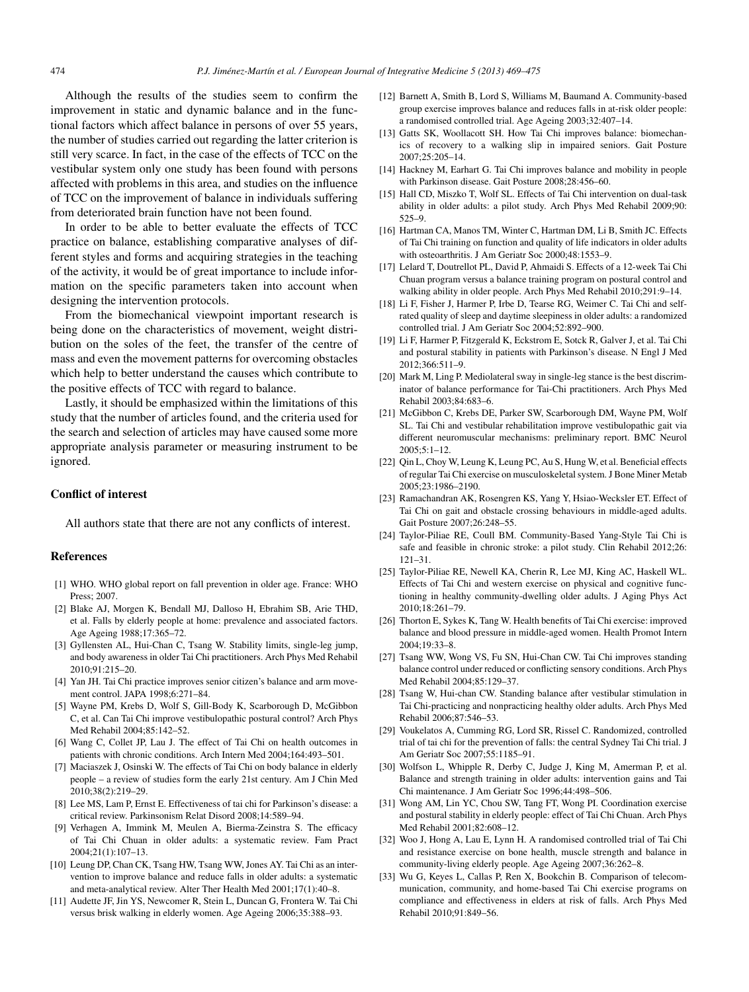<span id="page-5-0"></span>Although the results of the studies seem to confirm the improvement in static and dynamic balance and in the functional factors which affect balance in persons of over 55 years, the number of studies carried out regarding the latter criterion is still very scarce. In fact, in the case of the effects of TCC on the vestibular system only one study has been found with persons affected with problems in this area, and studies on the influence of TCC on the improvement of balance in individuals suffering from deteriorated brain function have not been found.

In order to be able to better evaluate the effects of TCC practice on balance, establishing comparative analyses of different styles and forms and acquiring strategies in the teaching of the activity, it would be of great importance to include information on the specific parameters taken into account when designing the intervention protocols.

From the biomechanical viewpoint important research is being done on the characteristics of movement, weight distribution on the soles of the feet, the transfer of the centre of mass and even the movement patterns for overcoming obstacles which help to better understand the causes which contribute to the positive effects of TCC with regard to balance.

Lastly, it should be emphasized within the limitations of this study that the number of articles found, and the criteria used for the search and selection of articles may have caused some more appropriate analysis parameter or measuring instrument to be ignored.

# **Conflict of interest**

All authors state that there are not any conflicts of interest.

## **References**

- [1] WHO. WHO global report on fall prevention in older age. France: WHO Press; 2007.
- [2] Blake AJ, Morgen K, Bendall MJ, Dalloso H, Ebrahim SB, Arie THD, et al. Falls by elderly people at home: prevalence and associated factors. Age Ageing 1988;17:365–72.
- [3] Gyllensten AL, Hui-Chan C, Tsang W. Stability limits, single-leg jump, and body awareness in older Tai Chi practitioners. Arch Phys Med Rehabil 2010;91:215–20.
- [4] Yan JH. Tai Chi practice improves senior citizen's balance and arm movement control. JAPA 1998;6:271–84.
- [5] Wayne PM, Krebs D, Wolf S, Gill-Body K, Scarborough D, McGibbon C, et al. Can Tai Chi improve vestibulopathic postural control? Arch Phys Med Rehabil 2004;85:142–52.
- [6] Wang C, Collet JP, Lau J. The effect of Tai Chi on health outcomes in patients with chronic conditions. Arch Intern Med 2004;164:493–501.
- [7] Maciaszek J, Osinski W. The effects of Tai Chi on body balance in elderly people – a review of studies form the early 21st century. Am J Chin Med 2010;38(2):219–29.
- [8] Lee MS, Lam P, Ernst E. Effectiveness of tai chi for Parkinson's disease: a critical review. Parkinsonism Relat Disord 2008;14:589–94.
- [9] Verhagen A, Immink M, Meulen A, Bierma-Zeinstra S. The efficacy of Tai Chi Chuan in older adults: a systematic review. Fam Pract 2004;21(1):107–13.
- [10] Leung DP, Chan CK, Tsang HW, Tsang WW, Jones AY. Tai Chi as an intervention to improve balance and reduce falls in older adults: a systematic and meta-analytical review. Alter Ther Health Med 2001;17(1):40–8.
- [11] Audette JF, Jin YS, Newcomer R, Stein L, Duncan G, Frontera W. Tai Chi versus brisk walking in elderly women. Age Ageing 2006;35:388–93.
- [12] Barnett A, Smith B, Lord S, Williams M, Baumand A. Community-based group exercise improves balance and reduces falls in at-risk older people: a randomised controlled trial. Age Ageing 2003;32:407–14.
- [13] Gatts SK, Woollacott SH. How Tai Chi improves balance: biomechanics of recovery to a walking slip in impaired seniors. Gait Posture 2007;25:205–14.
- [14] Hackney M, Earhart G. Tai Chi improves balance and mobility in people with Parkinson disease. Gait Posture 2008;28:456–60.
- [15] Hall CD, Miszko T, Wolf SL. Effects of Tai Chi intervention on dual-task ability in older adults: a pilot study. Arch Phys Med Rehabil 2009;90: 525–9.
- [16] Hartman CA, Manos TM, Winter C, Hartman DM, Li B, Smith JC. Effects of Tai Chi training on function and quality of life indicators in older adults with osteoarthritis. J Am Geriatr Soc 2000;48:1553–9.
- [17] Lelard T, Doutrellot PL, David P, Ahmaidi S. Effects of a 12-week Tai Chi Chuan program versus a balance training program on postural control and walking ability in older people. Arch Phys Med Rehabil 2010;291:9–14.
- [18] Li F, Fisher J, Harmer P, Irbe D, Tearse RG, Weimer C. Tai Chi and selfrated quality of sleep and daytime sleepiness in older adults: a randomized controlled trial. J Am Geriatr Soc 2004;52:892–900.
- [19] Li F, Harmer P, Fitzgerald K, Eckstrom E, Sotck R, Galver J, et al. Tai Chi and postural stability in patients with Parkinson's disease. N Engl J Med 2012;366:511–9.
- [20] Mark M, Ling P. Mediolateral sway in single-leg stance is the best discriminator of balance performance for Tai-Chi practitioners. Arch Phys Med Rehabil 2003;84:683–6.
- [21] McGibbon C, Krebs DE, Parker SW, Scarborough DM, Wayne PM, Wolf SL. Tai Chi and vestibular rehabilitation improve vestibulopathic gait via different neuromuscular mechanisms: preliminary report. BMC Neurol 2005;5:1–12.
- [22] Qin L, Choy W, Leung K, Leung PC, Au S, Hung W, et al. Beneficial effects of regular Tai Chi exercise on musculoskeletal system. J Bone Miner Metab 2005;23:1986–2190.
- [23] Ramachandran AK, Rosengren KS, Yang Y, Hsiao-Wecksler ET. Effect of Tai Chi on gait and obstacle crossing behaviours in middle-aged adults. Gait Posture 2007;26:248–55.
- [24] Taylor-Piliae RE, Coull BM. Community-Based Yang-Style Tai Chi is safe and feasible in chronic stroke: a pilot study. Clin Rehabil 2012;26: 121–31.
- [25] Taylor-Piliae RE, Newell KA, Cherin R, Lee MJ, King AC, Haskell WL. Effects of Tai Chi and western exercise on physical and cognitive functioning in healthy community-dwelling older adults. J Aging Phys Act 2010;18:261–79.
- [26] Thorton E, Sykes K, Tang W. Health benefits of Tai Chi exercise: improved balance and blood pressure in middle-aged women. Health Promot Intern 2004;19:33–8.
- [27] Tsang WW, Wong VS, Fu SN, Hui-Chan CW. Tai Chi improves standing balance control under reduced or conflicting sensory conditions. Arch Phys Med Rehabil 2004;85:129–37.
- [28] Tsang W, Hui-chan CW. Standing balance after vestibular stimulation in Tai Chi-practicing and nonpracticing healthy older adults. Arch Phys Med Rehabil 2006;87:546–53.
- [29] Voukelatos A, Cumming RG, Lord SR, Rissel C. Randomized, controlled trial of tai chi for the prevention of falls: the central Sydney Tai Chi trial. J Am Geriatr Soc 2007;55:1185–91.
- [30] Wolfson L, Whipple R, Derby C, Judge J, King M, Amerman P, et al. Balance and strength training in older adults: intervention gains and Tai Chi maintenance. J Am Geriatr Soc 1996;44:498–506.
- [31] Wong AM, Lin YC, Chou SW, Tang FT, Wong PI. Coordination exercise and postural stability in elderly people: effect of Tai Chi Chuan. Arch Phys Med Rehabil 2001;82:608–12.
- [32] Woo J, Hong A, Lau E, Lynn H. A randomised controlled trial of Tai Chi and resistance exercise on bone health, muscle strength and balance in community-living elderly people. Age Ageing 2007;36:262–8.
- [33] Wu G, Keyes L, Callas P, Ren X, Bookchin B. Comparison of telecommunication, community, and home-based Tai Chi exercise programs on compliance and effectiveness in elders at risk of falls. Arch Phys Med Rehabil 2010;91:849–56.